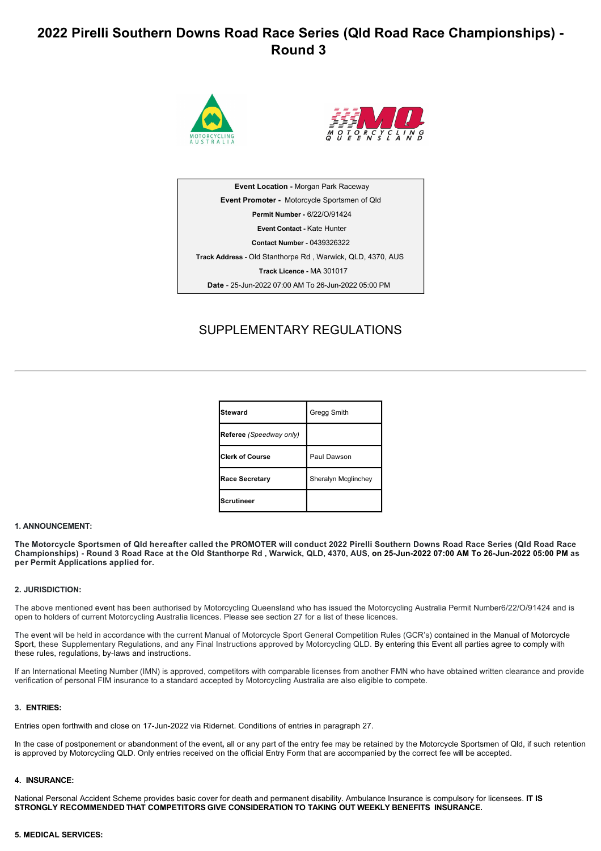# **2022 Pirelli Southern Downs Road Race Series (Qld Road Race Championships) Round 3**





**Event Location - Morgan Park Raceway Event Promoter**  Motorcycle Sportsmen of Qld **Permit Number**  6/22/O/91424 **Event Contact** Kate Hunter **Contact Number**  0439326322 **Track Address** Old Stanthorpe Rd , Warwick, QLD, 4370, AUS **Track Licence**  MA 301017 Date - 25-Jun-2022 07:00 AM To 26-Jun-2022 05:00 PM

# SUPPLEMENTARY REGULATIONS

| Steward                 | Gregg Smith         |
|-------------------------|---------------------|
| Referee (Speedway only) |                     |
| <b>Clerk of Course</b>  | Paul Dawson         |
| <b>Race Secretary</b>   | Sheralyn Mcglinchey |
| <b>Scrutineer</b>       |                     |

### **1. ANNOUNCEMENT:**

**The Motorcycle Sportsmen of Qld hereafter called the PROMOTER will conduct 2022 Pirelli Southern Downs Road Race Series (Qld Road Race** Championships) - Round 3 Road Race at the Old Stanthorpe Rd, Warwick, QLD, 4370, AUS, on 25-Jun-2022 07:00 AM To 26-Jun-2022 05:00 PM as **per Permit Applications applied for.**

### **2. JURISDICTION:**

The above mentioned event has been authorised by Motorcycling Queensland who has issued the Motorcycling Australia Permit Number6/22/O/91424 and is open to holders of current Motorcycling Australia licences. Please see section 27 for a list of these licences.

The event will be held in accordance with the current Manual of Motorcycle Sport General Competition Rules (GCR's) contained in the Manual of Motorcycle Sport, these Supplementary Regulations, and any Final Instructions approved by Motorcycling QLD. By entering this Event all parties agree to comply with these rules, regulations, by-laws and instructions.

If an International Meeting Number (IMN) is approved, competitors with comparable licenses from another FMN who have obtained written clearance and provide verification of personal FIM insurance to a standard accepted by Motorcycling Australia are also eligible to compete.

#### **3. ENTRIES:**

Entries open forthwith and close on 17-Jun-2022 via Ridernet. Conditions of entries in paragraph 27.

In the case of postponement or abandonment of the event**,** all or any part of the entry fee may be retained by the Motorcycle Sportsmen of Qld, if such retention is approved by Motorcycling QLD. Only entries received on the official Entry Form that are accompanied by the correct fee will be accepted.

### **4. INSURANCE:**

National Personal Accident Scheme provides basic cover for death and permanent disability. Ambulance Insurance is compulsory for licensees. **IT IS STRONGLY RECOMMENDED THAT COMPETITORS GIVE CONSIDERATION TO TAKING OUT WEEKLY BENEFITS INSURANCE.**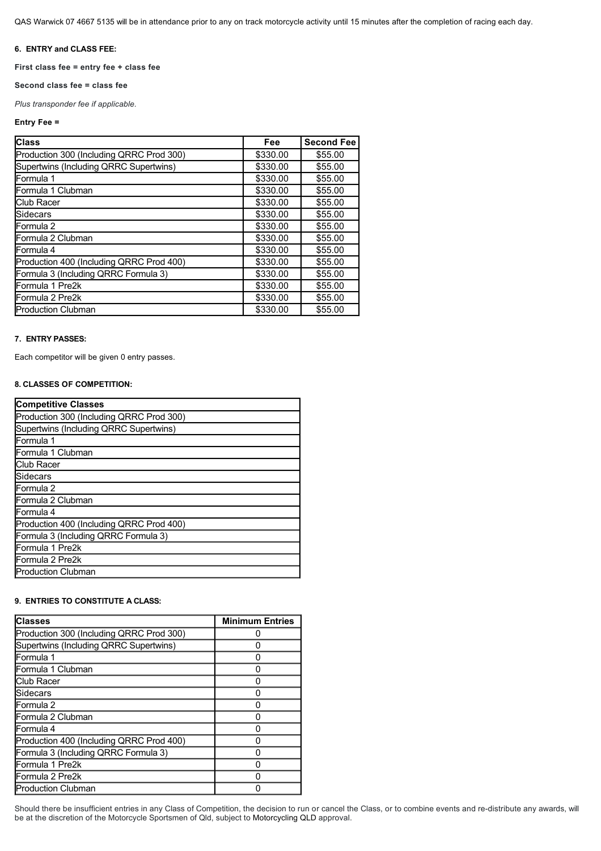QAS Warwick 07 4667 5135 will be in attendance prior to any on track motorcycle activity until 15 minutes after the completion of racing each day.

### **6. ENTRY and CLASS FEE:**

**First class fee = entry fee + class fee** 

### **Second class fee = class fee**

*Plus transponder fee if applicable.*

### **Entry Fee =**

| <b>Class</b>                             | <b>Fee</b> | <b>Second Fee</b> |
|------------------------------------------|------------|-------------------|
| Production 300 (Including QRRC Prod 300) | \$330.00   | \$55.00           |
| Supertwins (Including QRRC Supertwins)   | \$330.00   | \$55.00           |
| Formula 1                                | \$330.00   | \$55.00           |
| Formula 1 Clubman                        | \$330.00   | \$55.00           |
| Club Racer                               | \$330.00   | \$55.00           |
| <b>Sidecars</b>                          | \$330.00   | \$55.00           |
| Formula 2                                | \$330.00   | \$55.00           |
| Formula 2 Clubman                        | \$330.00   | \$55.00           |
| Formula 4                                | \$330.00   | \$55.00           |
| Production 400 (Including QRRC Prod 400) | \$330.00   | \$55.00           |
| Formula 3 (Including QRRC Formula 3)     | \$330.00   | \$55.00           |
| Formula 1 Pre2k                          | \$330.00   | \$55.00           |
| Formula 2 Pre2k                          | \$330.00   | \$55.00           |
| <b>Production Clubman</b>                | \$330.00   | \$55.00           |

### **7. ENTRY PASSES:**

Each competitor will be given 0 entry passes.

# **8. CLASSES OF COMPETITION:**

| <b>Competitive Classes</b>               |
|------------------------------------------|
| Production 300 (Including QRRC Prod 300) |
| Supertwins (Including QRRC Supertwins)   |
| Formula 1                                |
| Formula 1 Clubman                        |
| <b>Club Racer</b>                        |
| Sidecars                                 |
| Formula 2                                |
| Formula 2 Clubman                        |
| Formula 4                                |
| Production 400 (Including QRRC Prod 400) |
| Formula 3 (Including QRRC Formula 3)     |
| Formula 1 Pre2k                          |
| Formula 2 Pre2k                          |
| <b>Production Clubman</b>                |

### **9. ENTRIES TO CONSTITUTE A CLASS:**

| <b>Classes</b>                           | <b>Minimum Entries</b> |
|------------------------------------------|------------------------|
| Production 300 (Including QRRC Prod 300) |                        |
| Supertwins (Including QRRC Supertwins)   |                        |
| Formula 1                                |                        |
| Formula 1 Clubman                        |                        |
| Club Racer                               |                        |
| Sidecars                                 |                        |
| Formula 2                                |                        |
| Formula 2 Clubman                        |                        |
| Formula 4                                |                        |
| Production 400 (Including QRRC Prod 400) |                        |
| Formula 3 (Including QRRC Formula 3)     |                        |
| Formula 1 Pre2k                          |                        |
| Formula 2 Pre2k                          |                        |
| <b>Production Clubman</b>                |                        |

Should there be insufficient entries in any Class of Competition, the decision to run or cancel the Class, or to combine events and re-distribute any awards, will be at the discretion of the Motorcycle Sportsmen of Qld, subject to Motorcycling QLD approval.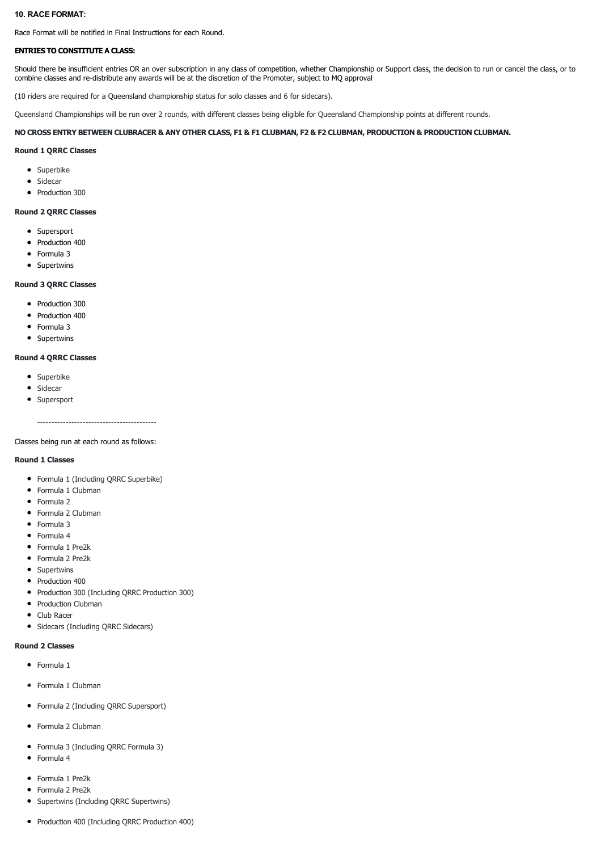### **10. RACE FORMAT:**

Race Format will be notified in Final Instructions for each Round.

### **ENTRIES TO CONSTITUTE A CLASS:**

Should there be insufficient entries OR an over subscription in any class of competition, whether Championship or Support class, the decision to run or cancel the class, or to combine classes and re-distribute any awards will be at the discretion of the Promoter, subject to MQ approval

(10 riders are required for a Queensland championship status for solo classes and 6 for sidecars).

Queensland Championships will be run over 2 rounds, with different classes being eligible for Queensland Championship points at different rounds.

### **NO CROSS ENTRY BETWEEN CLUBRACER & ANY OTHER CLASS, F1 & F1 CLUBMAN, F2 & F2 CLUBMAN, PRODUCTION & PRODUCTION CLUBMAN.**

### **Round 1 QRRC Classes**

- Superbike
- Sidecar
- Production 300

### **Round 2 QRRC Classes**

- Supersport
- Production 400
- Formula 3
- Supertwins

### **Round 3 QRRC Classes**

- Production 300
- Production 400
- Formula 3
- Supertwins

### **Round 4 QRRC Classes**

- Superbike
- Sidecar
- Supersport

#### Classes being run at each round as follows:

### **Round 1 Classes**

- Formula 1 (Including QRRC Superbike)
- Formula 1 Clubman
- Formula 2
- Formula 2 Clubman
- Formula 3
- Formula 4
- Formula 1 Pre2k Formula 2 Pre2k
- Supertwins
- 
- Production 400
- Production 300 (Including QRRC Production 300)
- Production Clubman
- Club Racer
- Sidecars (Including QRRC Sidecars)

### **Round 2 Classes**

- **•** Formula 1
- Formula 1 Clubman
- Formula 2 (Including QRRC Supersport)
- Formula 2 Clubman
- Formula 3 (Including QRRC Formula 3)
- Formula 4
- Formula 1 Pre2k
- Formula 2 Pre2k
- Supertwins (Including QRRC Supertwins)
- Production 400 (Including QRRC Production 400)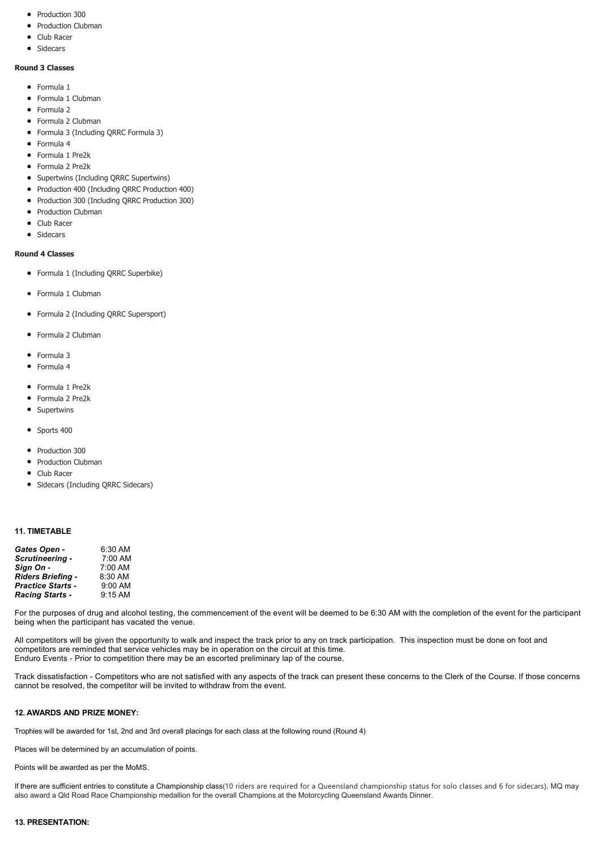- Production 300
- Production Clubman
- Club Racer
- Sidecars

# **Round 3 Classes**

- **•** Formula 1
- Formula 1 Clubman
- Formula 2
- Formula 2 Clubman
- Formula 3 (Including QRRC Formula 3)
- Formula 4
- Formula 1 Pre2k
- Formula 2 Pre2k
- Supertwins (Including QRRC Supertwins)
- Production 400 (Including QRRC Production 400)
- Production 300 (Including QRRC Production 300)
- Production Clubman
- Club Racer
- Sidecars

# **Round 4 Classes**

- Formula 1 (Including QRRC Superbike)
- Formula 1 Clubman
- Formula 2 (Including QRRC Supersport)
- Formula 2 Clubman
- Formula 3
- Formula 4
- Formula 1 Pre2k
- Formula 2 Pre2k
- Supertwins
- $\bullet$  Sports 400
- Production 300
- Production Clubman
- Club Racer
- Sidecars (Including QRRC Sidecars)

### **11. TIMETABLE**

| Gates Open -             | 6:30 AM |
|--------------------------|---------|
| Scrutineering -          | 7:00 AM |
| Sign On -                | 7:00 AM |
| Riders Briefing -        | 8:30 AM |
| <b>Practice Starts -</b> | 9:00 AM |
| <b>Racing Starts -</b>   | 9:15 AM |

For the purposes of drug and alcohol testing, the commencement of the event will be deemed to be 6:30 AM with the completion of the event for the participant being when the participant has vacated the venue.

All competitors will be given the opportunity to walk and inspect the track prior to any on track participation. This inspection must be done on foot and competitors are reminded that service vehicles may be in operation on the circuit at this time. Enduro Events - Prior to competition there may be an escorted preliminary lap of the course.

Track dissatisfaction Competitors who are not satisfied with any aspects of the track can present these concerns to the Clerk of the Course. If those concerns cannot be resolved, the competitor will be invited to withdraw from the event.

# **12. AWARDS AND PRIZE MONEY:**

Trophies will be awarded for 1st, 2nd and 3rd overall placings for each class at the following round (Round 4)

Places will be determined by an accumulation of points.

Points will be awarded as per the MoMS.

If there are sufficient entries to constitute a Championship class(10 riders are required for a Queensland championship status for solo classes and 6 for sidecars), MQ may also award a Qld Road Race Championship medallion for the overall Champions at the Motorcycling Queensland Awards Dinner.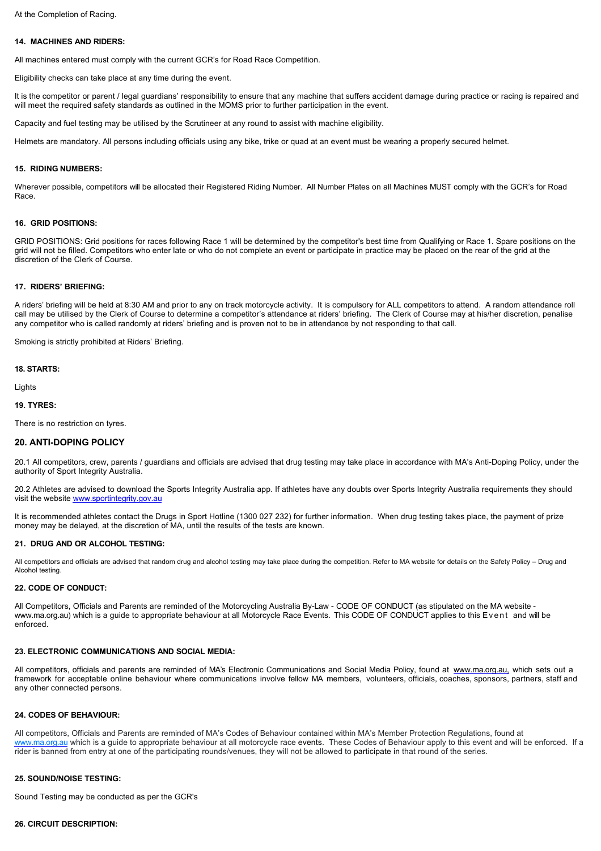### **14. MACHINES AND RIDERS:**

All machines entered must comply with the current GCR's for Road Race Competition.

Eligibility checks can take place at any time during the event.

It is the competitor or parent / legal guardians' responsibility to ensure that any machine that suffers accident damage during practice or racing is repaired and will meet the required safety standards as outlined in the MOMS prior to further participation in the event.

Capacity and fuel testing may be utilised by the Scrutineer at any round to assist with machine eligibility.

Helmets are mandatory. All persons including officials using any bike, trike or quad at an event must be wearing a properly secured helmet.

#### **15. RIDING NUMBERS:**

Wherever possible, competitors will be allocated their Registered Riding Number. All Number Plates on all Machines MUST comply with the GCR's for Road Race.

#### **16. GRID POSITIONS:**

GRID POSITIONS: Grid positions for races following Race 1 will be determined by the competitor's best time from Qualifying or Race 1. Spare positions on the grid will not be filled. Competitors who enter late or who do not complete an event or participate in practice may be placed on the rear of the grid at the discretion of the Clerk of Course.

### **17. RIDERS' BRIEFING:**

A riders' briefing will be held at 8:30 AM and prior to any on track motorcycle activity. It is compulsory for ALL competitors to attend. A random attendance roll call may be utilised by the Clerk of Course to determine a competitor's attendance at riders' briefing. The Clerk of Course may at his/her discretion, penalise any competitor who is called randomly at riders' briefing and is proven not to be in attendance by not responding to that call.

Smoking is strictly prohibited at Riders' Briefing.

#### **18. STARTS:**

Lights

### **19. TYRES:**

There is no restriction on tyres.

### **20. ANTI-DOPING POLICY**

20.1 All competitors, crew, parents / guardians and officials are advised that drug testing may take place in accordance with MA's Anti-Doping Policy, under the authority of Sport Integrity Australia.

20.2 Athletes are advised to download the Sports Integrity Australia app. If athletes have any doubts over Sports Integrity Australia requirements they should visit the website [www.sportintegrity.gov.au](http://www.sportintegrity.gov.au/)

It is recommended athletes contact the Drugs in Sport Hotline (1300 027 232) for further information. When drug testing takes place, the payment of prize money may be delayed, at the discretion of MA, until the results of the tests are known.

#### **21. DRUG AND OR ALCOHOL TESTING:**

All competitors and officials are advised that random drug and alcohol testing may take place during the competition. Refer to MA website for details on the Safety Policy – Drug and Alcohol testing.

#### **22. CODE OF CONDUCT:**

All Competitors, Officials and Parents are reminded of the Motorcycling Australia By-Law - CODE OF CONDUCT (as stipulated on the MA website www.ma.org.au) which is a guide to appropriate behaviour at all Motorcycle Race Events. This CODE OF CONDUCT applies to this Event and will be enforced.

### **23. ELECTRONIC COMMUNICATIONS AND SOCIAL MEDIA:**

All competitors, officials and parents are reminded of MA's Electronic Communications and Social Media Policy, found at [www.ma.org.au,](http://www.ma.org.au/) which sets out a framework for acceptable online behaviour where communications involve fellow MA members, volunteers, officials, coaches, sponsors, partners, staff and any other connected persons.

### **24. CODES OF BEHAVIOUR:**

All competitors, Officials and Parents are reminded of MA's Codes of Behaviour contained within MA's Member Protection Regulations, found at [www.ma.org.au](http://www.ma.org.au/) which is a guide to appropriate behaviour at all motorcycle race events. These Codes of Behaviour apply to this event and will be enforced. If a rider is banned from entry at one of the participating rounds/venues, they will not be allowed to participate in that round of the series.

#### **25. SOUND/NOISE TESTING:**

Sound Testing may be conducted as per the GCR's

### **26. CIRCUIT DESCRIPTION:**